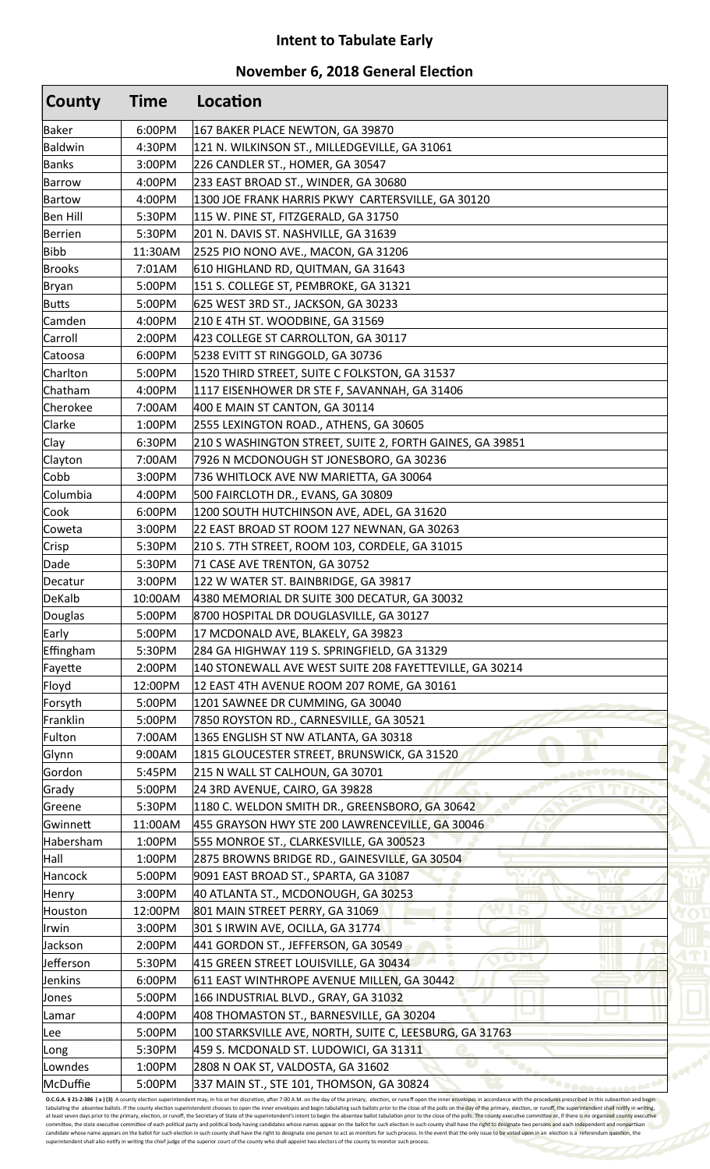## **Intent to Tabulate Early**

## **November 6, 2018 General Election**

| County          | Time    | Location                                                                         |
|-----------------|---------|----------------------------------------------------------------------------------|
| <b>Baker</b>    | 6:00PM  | 167 BAKER PLACE NEWTON, GA 39870                                                 |
| Baldwin         | 4:30PM  | 121 N. WILKINSON ST., MILLEDGEVILLE, GA 31061                                    |
| <b>Banks</b>    | 3:00PM  | 226 CANDLER ST., HOMER, GA 30547                                                 |
| <b>Barrow</b>   | 4:00PM  | 233 EAST BROAD ST., WINDER, GA 30680                                             |
| <b>Bartow</b>   | 4:00PM  | 1300 JOE FRANK HARRIS PKWY CARTERSVILLE, GA 30120                                |
| <b>Ben Hill</b> | 5:30PM  | 115 W. PINE ST, FITZGERALD, GA 31750                                             |
| <b>Berrien</b>  | 5:30PM  | 201 N. DAVIS ST. NASHVILLE, GA 31639                                             |
| <b>Bibb</b>     | 11:30AM | 2525 PIO NONO AVE., MACON, GA 31206                                              |
| <b>Brooks</b>   | 7:01AM  | 610 HIGHLAND RD, QUITMAN, GA 31643                                               |
| <b>Bryan</b>    | 5:00PM  | 151 S. COLLEGE ST, PEMBROKE, GA 31321                                            |
| <b>Butts</b>    | 5:00PM  | 625 WEST 3RD ST., JACKSON, GA 30233                                              |
| Camden          | 4:00PM  | 210 E 4TH ST. WOODBINE, GA 31569                                                 |
| Carroll         | 2:00PM  | 423 COLLEGE ST CARROLLTON, GA 30117                                              |
| Catoosa         | 6:00PM  | 5238 EVITT ST RINGGOLD, GA 30736                                                 |
| Charlton        | 5:00PM  | 1520 THIRD STREET, SUITE C FOLKSTON, GA 31537                                    |
| Chatham         | 4:00PM  | 1117 EISENHOWER DR STE F, SAVANNAH, GA 31406                                     |
| Cherokee        | 7:00AM  | 400 E MAIN ST CANTON, GA 30114                                                   |
| Clarke          | 1:00PM  | 2555 LEXINGTON ROAD., ATHENS, GA 30605                                           |
| Clay            | 6:30PM  | 210 S WASHINGTON STREET, SUITE 2, FORTH GAINES, GA 39851                         |
| Clayton         | 7:00AM  | 7926 N MCDONOUGH ST JONESBORO, GA 30236                                          |
| Cobb            | 3:00PM  | 736 WHITLOCK AVE NW MARIETTA, GA 30064                                           |
| Columbia        | 4:00PM  | 500 FAIRCLOTH DR., EVANS, GA 30809                                               |
| Cook            | 6:00PM  | 1200 SOUTH HUTCHINSON AVE, ADEL, GA 31620                                        |
| Coweta          | 3:00PM  | 22 EAST BROAD ST ROOM 127 NEWNAN, GA 30263                                       |
| Crisp           | 5:30PM  | 210 S. 7TH STREET, ROOM 103, CORDELE, GA 31015                                   |
| Dade            | 5:30PM  | 71 CASE AVE TRENTON, GA 30752                                                    |
| Decatur         | 3:00PM  | 122 W WATER ST. BAINBRIDGE, GA 39817                                             |
| <b>DeKalb</b>   | 10:00AM | 4380 MEMORIAL DR SUITE 300 DECATUR, GA 30032                                     |
| Douglas         | 5:00PM  | 8700 HOSPITAL DR DOUGLASVILLE, GA 30127                                          |
| Early           | 5:00PM  | 17 MCDONALD AVE, BLAKELY, GA 39823                                               |
| Effingham       | 5:30PM  | 284 GA HIGHWAY 119 S. SPRINGFIELD, GA 31329                                      |
| Fayette         | 2:00PM  | 140 STONEWALL AVE WEST SUITE 208 FAYETTEVILLE, GA 30214                          |
| Floyd           | 12:00PM | 12 EAST 4TH AVENUE ROOM 207 ROME, GA 30161                                       |
| Forsyth         | 5:00PM  | 1201 SAWNEE DR CUMMING, GA 30040                                                 |
| Franklin        | 5:00PM  | 7850 ROYSTON RD., CARNESVILLE, GA 30521                                          |
| Fulton          | 7:00AM  | 1365 ENGLISH ST NW ATLANTA, GA 30318                                             |
| Glynn           | 9:00AM  | 1815 GLOUCESTER STREET, BRUNSWICK, GA 31520                                      |
| Gordon          | 5:45PM  | 215 N WALL ST CALHOUN, GA 30701                                                  |
| Grady           | 5:00PM  | 24 3RD AVENUE, CAIRO, GA 39828                                                   |
| Greene          | 5:30PM  | 1180 C. WELDON SMITH DR., GREENSBORO, GA 30642                                   |
| Gwinnett        | 11:00AM | 455 GRAYSON HWY STE 200 LAWRENCEVILLE, GA 30046                                  |
| Habersham       | 1:00PM  | 555 MONROE ST., CLARKESVILLE, GA 300523                                          |
| Hall            | 1:00PM  | 2875 BROWNS BRIDGE RD., GAINESVILLE, GA 30504                                    |
| Hancock         | 5:00PM  | 9091 EAST BROAD ST., SPARTA, GA 31087                                            |
| Henry           | 3:00PM  | 40 ATLANTA ST., MCDONOUGH, GA 30253                                              |
| Houston         | 12:00PM | 801 MAIN STREET PERRY, GA 31069                                                  |
| Irwin           | 3:00PM  | 301 S IRWIN AVE, OCILLA, GA 31774                                                |
| Jackson         | 2:00PM  | 441 GORDON ST., JEFFERSON, GA 30549                                              |
| Jefferson       | 5:30PM  | 415 GREEN STREET LOUISVILLE, GA 30434                                            |
| Jenkins         | 6:00PM  | 611 EAST WINTHROPE AVENUE MILLEN, GA 30442                                       |
|                 |         |                                                                                  |
| Jones           | 5:00PM  | 166 INDUSTRIAL BLVD., GRAY, GA 31032<br>408 THOMASTON ST., BARNESVILLE, GA 30204 |
| Lamar           | 4:00PM  |                                                                                  |
| Lee             | 5:00PM  | 100 STARKSVILLE AVE, NORTH, SUITE C, LEESBURG, GA 31763                          |
| Long            | 5:30PM  | 459 S. MCDONALD ST. LUDOWICI, GA 31311                                           |
| Lowndes         | 1:00PM  | 2808 N OAK ST, VALDOSTA, GA 31602                                                |
| McDuffie        | 5:00PM  | 337 MAIN ST., STE 101, THOMSON, GA 30824                                         |

**O.C.G.A. § 21-2-386 (a) (3)** A county election superintendent may, in his or her discretion, after 7:00 A.M. on the day of the primary, election, or runoff open the inner envelopes in accordance with the procedures prescr